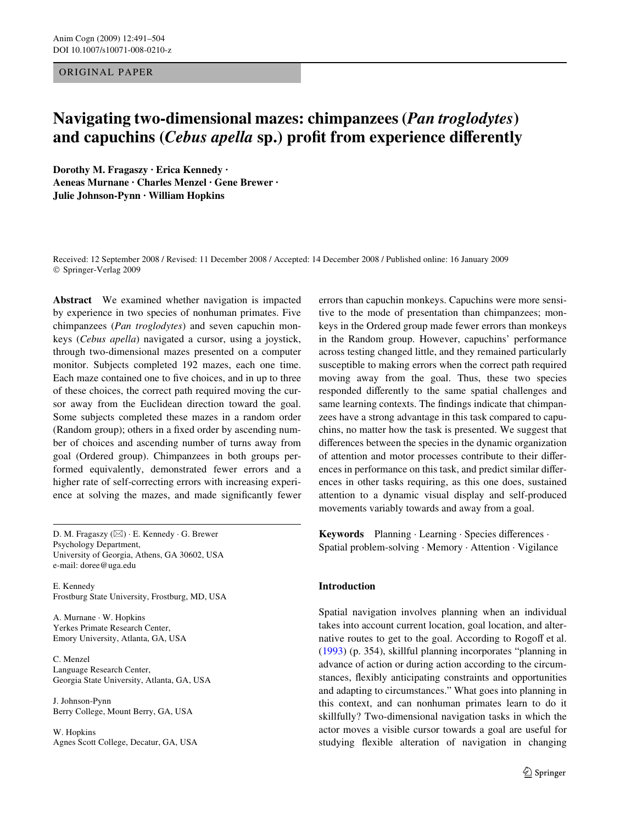ORIGINAL PAPER

# **Navigating two-dimensional mazes: chimpanzees (***Pan troglodytes***) and capuchins (***Cebus apella* **sp.) profit from experience differently**

**Dorothy M. Fragaszy · Erica Kennedy · Aeneas Murnane · Charles Menzel · Gene Brewer · Julie Johnson-Pynn · William Hopkins** 

Received: 12 September 2008 / Revised: 11 December 2008 / Accepted: 14 December 2008 / Published online: 16 January 2009 © Springer-Verlag 2009

**Abstract** We examined whether navigation is impacted by experience in two species of nonhuman primates. Five chimpanzees (*Pan troglodytes*) and seven capuchin monkeys (*Cebus apella*) navigated a cursor, using a joystick, through two-dimensional mazes presented on a computer monitor. Subjects completed 192 mazes, each one time. Each maze contained one to five choices, and in up to three of these choices, the correct path required moving the cursor away from the Euclidean direction toward the goal. Some subjects completed these mazes in a random order (Random group); others in a fixed order by ascending number of choices and ascending number of turns away from goal (Ordered group). Chimpanzees in both groups performed equivalently, demonstrated fewer errors and a higher rate of self-correcting errors with increasing experience at solving the mazes, and made significantly fewer

D. M. Fragaszy (⊠) · E. Kennedy · G. Brewer Psychology Department, University of Georgia, Athens, GA 30602, USA e-mail: doree@uga.edu

E. Kennedy Frostburg State University, Frostburg, MD, USA

A. Murnane · W. Hopkins Yerkes Primate Research Center, Emory University, Atlanta, GA, USA

C. Menzel Language Research Center, Georgia State University, Atlanta, GA, USA

J. Johnson-Pynn Berry College, Mount Berry, GA, USA

W. Hopkins Agnes Scott College, Decatur, GA, USA errors than capuchin monkeys. Capuchins were more sensitive to the mode of presentation than chimpanzees; monkeys in the Ordered group made fewer errors than monkeys in the Random group. However, capuchins' performance across testing changed little, and they remained particularly susceptible to making errors when the correct path required moving away from the goal. Thus, these two species responded differently to the same spatial challenges and same learning contexts. The findings indicate that chimpanzees have a strong advantage in this task compared to capuchins, no matter how the task is presented. We suggest that differences between the species in the dynamic organization of attention and motor processes contribute to their differences in performance on this task, and predict similar differences in other tasks requiring, as this one does, sustained attention to a dynamic visual display and self-produced movements variably towards and away from a goal.

Keywords Planning · Learning · Species differences · Spatial problem-solving · Memory · Attention · Vigilance

# **Introduction**

Spatial navigation involves planning when an individual takes into account current location, goal location, and alternative routes to get to the goal. According to Rogoff et al. [\(1993\)](#page-13-0) (p. 354), skillful planning incorporates "planning in advance of action or during action according to the circumstances, flexibly anticipating constraints and opportunities and adapting to circumstances." What goes into planning in this context, and can nonhuman primates learn to do it skillfully? Two-dimensional navigation tasks in which the actor moves a visible cursor towards a goal are useful for studying flexible alteration of navigation in changing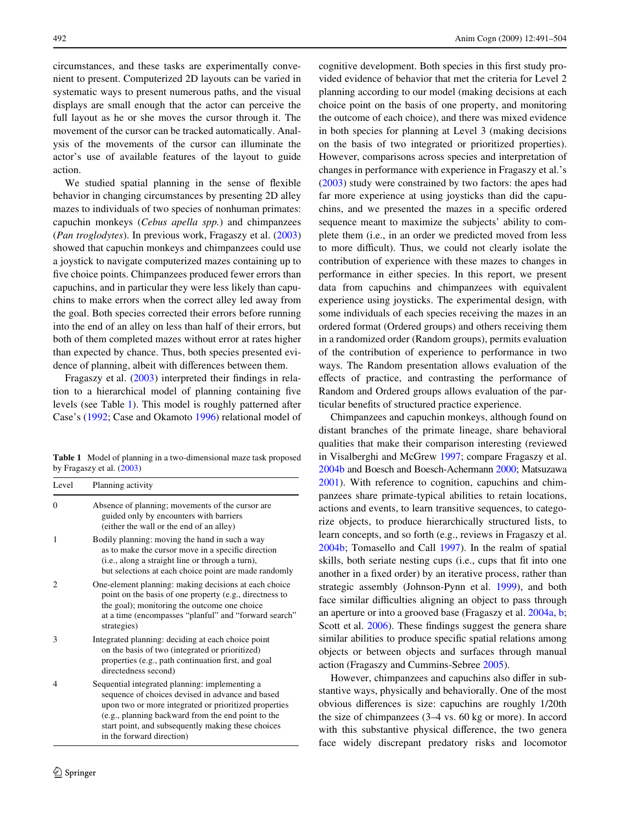circumstances, and these tasks are experimentally convenient to present. Computerized 2D layouts can be varied in systematic ways to present numerous paths, and the visual displays are small enough that the actor can perceive the full layout as he or she moves the cursor through it. The movement of the cursor can be tracked automatically. Analysis of the movements of the cursor can illuminate the actor's use of available features of the layout to guide action.

We studied spatial planning in the sense of flexible behavior in changing circumstances by presenting 2D alley mazes to individuals of two species of nonhuman primates: capuchin monkeys (*Cebus apella spp.*) and chimpanzees (*Pan troglodytes*). In previous work, Fragaszy et al. ([2003\)](#page-12-0) showed that capuchin monkeys and chimpanzees could use a joystick to navigate computerized mazes containing up to five choice points. Chimpanzees produced fewer errors than capuchins, and in particular they were less likely than capuchins to make errors when the correct alley led away from the goal. Both species corrected their errors before running into the end of an alley on less than half of their errors, but both of them completed mazes without error at rates higher than expected by chance. Thus, both species presented evidence of planning, albeit with differences between them.

Fragaszy et al.  $(2003)$  $(2003)$  interpreted their findings in relation to a hierarchical model of planning containing five levels (see Table [1](#page-1-0)). This model is roughly patterned after Case's ([1992](#page-12-1); Case and Okamoto [1996](#page-12-2)) relational model of

<span id="page-1-0"></span>**Table 1** Model of planning in a two-dimensional maze task proposed by Fragaszy et al. ([2003\)](#page-12-0)

| Level          | Planning activity                                                                                                                                                                                                                                                                                    |
|----------------|------------------------------------------------------------------------------------------------------------------------------------------------------------------------------------------------------------------------------------------------------------------------------------------------------|
| $\Omega$       | Absence of planning; movements of the cursor are<br>guided only by encounters with barriers<br>(either the wall or the end of an alley)                                                                                                                                                              |
| 1              | Bodily planning: moving the hand in such a way<br>as to make the cursor move in a specific direction<br>(i.e., along a straight line or through a turn),<br>but selections at each choice point are made randomly                                                                                    |
| $\mathfrak{D}$ | One-element planning: making decisions at each choice<br>point on the basis of one property (e.g., directness to<br>the goal); monitoring the outcome one choice<br>at a time (encompasses "planful" and "forward search"<br>strategies)                                                             |
| 3              | Integrated planning: deciding at each choice point<br>on the basis of two (integrated or prioritized)<br>properties (e.g., path continuation first, and goal<br>directedness second)                                                                                                                 |
| 4              | Sequential integrated planning: implementing a<br>sequence of choices devised in advance and based<br>upon two or more integrated or prioritized properties<br>(e.g., planning backward from the end point to the<br>start point, and subsequently making these choices<br>in the forward direction) |

cognitive development. Both species in this first study provided evidence of behavior that met the criteria for Level 2 planning according to our model (making decisions at each choice point on the basis of one property, and monitoring the outcome of each choice), and there was mixed evidence in both species for planning at Level 3 (making decisions on the basis of two integrated or prioritized properties). However, comparisons across species and interpretation of changes in performance with experience in Fragaszy et al.'s [\(2003\)](#page-12-0) study were constrained by two factors: the apes had far more experience at using joysticks than did the capuchins, and we presented the mazes in a specific ordered sequence meant to maximize the subjects' ability to complete them (i.e., in an order we predicted moved from less to more difficult). Thus, we could not clearly isolate the contribution of experience with these mazes to changes in performance in either species. In this report, we present data from capuchins and chimpanzees with equivalent experience using joysticks. The experimental design, with some individuals of each species receiving the mazes in an ordered format (Ordered groups) and others receiving them in a randomized order (Random groups), permits evaluation of the contribution of experience to performance in two ways. The Random presentation allows evaluation of the effects of practice, and contrasting the performance of Random and Ordered groups allows evaluation of the particular benefits of structured practice experience.

Chimpanzees and capuchin monkeys, although found on distant branches of the primate lineage, share behavioral qualities that make their comparison interesting (reviewed in Visalberghi and McGrew [1997;](#page-13-1) compare Fragaszy et al. [2004b](#page-13-2) and Boesch and Boesch-Achermann [2000;](#page-12-3) Matsuzawa [2001](#page-13-3)). With reference to cognition, capuchins and chimpanzees share primate-typical abilities to retain locations, actions and events, to learn transitive sequences, to categorize objects, to produce hierarchically structured lists, to learn concepts, and so forth (e.g., reviews in Fragaszy et al. [2004b](#page-13-2); Tomasello and Call [1997](#page-13-4)). In the realm of spatial skills, both seriate nesting cups (i.e., cups that fit into one another in a fixed order) by an iterative process, rather than strategic assembly (Johnson-Pynn et al. [1999](#page-13-5)), and both face similar difficulties aligning an object to pass through an aperture or into a grooved base (Fragaszy et al. [2004a,](#page-12-4) [b;](#page-13-2) Scott et al.  $2006$ ). These findings suggest the genera share similar abilities to produce specific spatial relations among objects or between objects and surfaces through manual action (Fragaszy and Cummins-Sebree [2005\)](#page-12-5).

However, chimpanzees and capuchins also differ in substantive ways, physically and behaviorally. One of the most obvious differences is size: capuchins are roughly 1/20th the size of chimpanzees (3–4 vs. 60 kg or more). In accord with this substantive physical difference, the two general face widely discrepant predatory risks and locomotor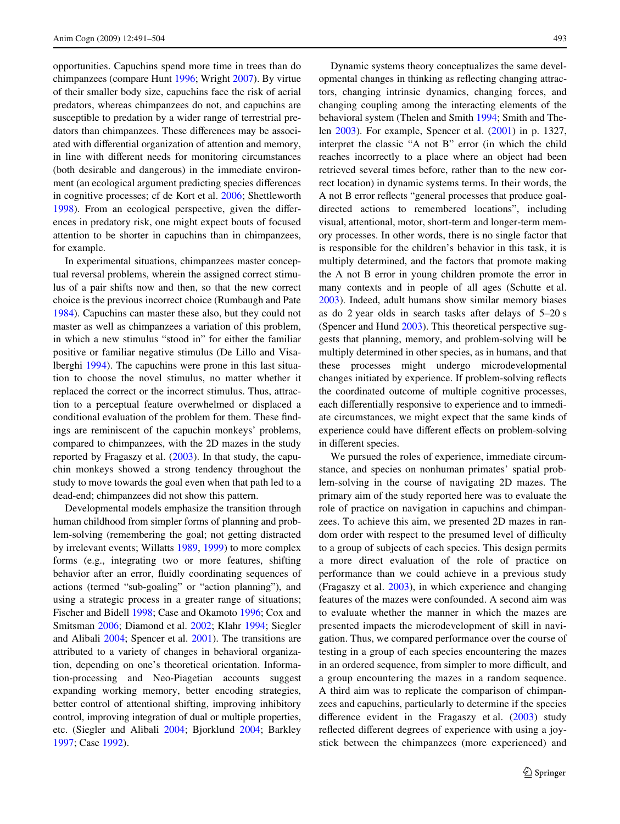opportunities. Capuchins spend more time in trees than do chimpanzees (compare Hunt [1996;](#page-13-7) Wright [2007](#page-13-8)). By virtue of their smaller body size, capuchins face the risk of aerial predators, whereas chimpanzees do not, and capuchins are susceptible to predation by a wider range of terrestrial predators than chimpanzees. These differences may be associ-ated with differential organization of attention and memory, in line with different needs for monitoring circumstances (both desirable and dangerous) in the immediate environment (an ecological argument predicting species differences in cognitive processes; cf de Kort et al. [2006](#page-12-6); Shettleworth [1998](#page-13-9)). From an ecological perspective, given the differences in predatory risk, one might expect bouts of focused attention to be shorter in capuchins than in chimpanzees, for example.

In experimental situations, chimpanzees master conceptual reversal problems, wherein the assigned correct stimulus of a pair shifts now and then, so that the new correct choice is the previous incorrect choice (Rumbaugh and Pate [1984](#page-13-10)). Capuchins can master these also, but they could not master as well as chimpanzees a variation of this problem, in which a new stimulus "stood in" for either the familiar positive or familiar negative stimulus (De Lillo and Visalberghi [1994](#page-12-7)). The capuchins were prone in this last situation to choose the novel stimulus, no matter whether it replaced the correct or the incorrect stimulus. Thus, attraction to a perceptual feature overwhelmed or displaced a conditional evaluation of the problem for them. These findings are reminiscent of the capuchin monkeys' problems, compared to chimpanzees, with the 2D mazes in the study reported by Fragaszy et al. ([2003\)](#page-12-0). In that study, the capuchin monkeys showed a strong tendency throughout the study to move towards the goal even when that path led to a dead-end; chimpanzees did not show this pattern.

Developmental models emphasize the transition through human childhood from simpler forms of planning and problem-solving (remembering the goal; not getting distracted by irrelevant events; Willatts [1989,](#page-13-11) [1999](#page-13-12)) to more complex forms (e.g., integrating two or more features, shifting behavior after an error, fluidly coordinating sequences of actions (termed "sub-goaling" or "action planning"), and using a strategic process in a greater range of situations; Fischer and Bidell [1998;](#page-12-8) Case and Okamoto [1996](#page-12-2); Cox and Smitsman [2006](#page-12-9); Diamond et al. [2002](#page-12-10); Klahr [1994;](#page-13-13) Siegler and Alibali [2004;](#page-13-14) Spencer et al. [2001](#page-13-15)). The transitions are attributed to a variety of changes in behavioral organization, depending on one's theoretical orientation. Information-processing and Neo-Piagetian accounts suggest expanding working memory, better encoding strategies, better control of attentional shifting, improving inhibitory control, improving integration of dual or multiple properties, etc. (Siegler and Alibali [2004](#page-13-14); Bjorklund [2004](#page-12-11); Barkley [1997](#page-12-12); Case [1992](#page-12-1)).

Dynamic systems theory conceptualizes the same developmental changes in thinking as reflecting changing attractors, changing intrinsic dynamics, changing forces, and changing coupling among the interacting elements of the behavioral system (Thelen and Smith [1994](#page-13-16); Smith and Thelen [2003](#page-13-17)). For example, Spencer et al. ([2001\)](#page-13-15) in p. 1327, interpret the classic "A not B" error (in which the child reaches incorrectly to a place where an object had been retrieved several times before, rather than to the new correct location) in dynamic systems terms. In their words, the A not B error reflects "general processes that produce goaldirected actions to remembered locations", including visual, attentional, motor, short-term and longer-term memory processes. In other words, there is no single factor that is responsible for the children's behavior in this task, it is multiply determined, and the factors that promote making the A not B error in young children promote the error in many contexts and in people of all ages (Schutte et al. [2003](#page-13-18)). Indeed, adult humans show similar memory biases as do 2 year olds in search tasks after delays of 5–20 s (Spencer and Hund [2003\)](#page-13-19). This theoretical perspective suggests that planning, memory, and problem-solving will be multiply determined in other species, as in humans, and that these processes might undergo microdevelopmental changes initiated by experience. If problem-solving reflects the coordinated outcome of multiple cognitive processes, each differentially responsive to experience and to immediate circumstances, we might expect that the same kinds of experience could have different effects on problem-solving in different species.

We pursued the roles of experience, immediate circumstance, and species on nonhuman primates' spatial problem-solving in the course of navigating 2D mazes. The primary aim of the study reported here was to evaluate the role of practice on navigation in capuchins and chimpanzees. To achieve this aim, we presented 2D mazes in random order with respect to the presumed level of difficulty to a group of subjects of each species. This design permits a more direct evaluation of the role of practice on performance than we could achieve in a previous study (Fragaszy et al. [2003\)](#page-12-0), in which experience and changing features of the mazes were confounded. A second aim was to evaluate whether the manner in which the mazes are presented impacts the microdevelopment of skill in navigation. Thus, we compared performance over the course of testing in a group of each species encountering the mazes in an ordered sequence, from simpler to more difficult, and a group encountering the mazes in a random sequence. A third aim was to replicate the comparison of chimpanzees and capuchins, particularly to determine if the species difference evident in the Fragaszy et al.  $(2003)$  $(2003)$  study reflected different degrees of experience with using a joystick between the chimpanzees (more experienced) and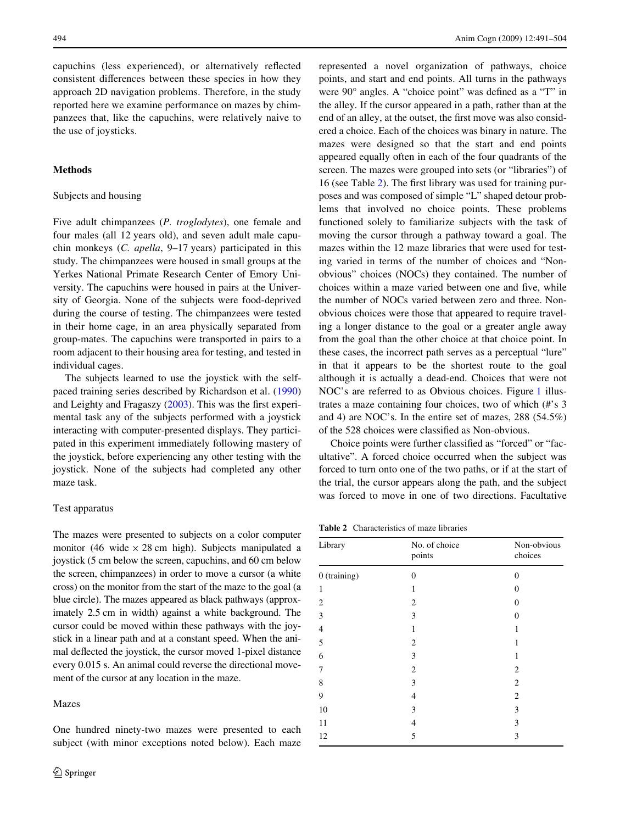capuchins (less experienced), or alternatively reflected consistent differences between these species in how they approach 2D navigation problems. Therefore, in the study reported here we examine performance on mazes by chimpanzees that, like the capuchins, were relatively naive to the use of joysticks.

# **Methods**

## Subjects and housing

Five adult chimpanzees (*P. troglodytes*), one female and four males (all 12 years old), and seven adult male capuchin monkeys (*C. apella*, 9–17 years) participated in this study. The chimpanzees were housed in small groups at the Yerkes National Primate Research Center of Emory University. The capuchins were housed in pairs at the University of Georgia. None of the subjects were food-deprived during the course of testing. The chimpanzees were tested in their home cage, in an area physically separated from group-mates. The capuchins were transported in pairs to a room adjacent to their housing area for testing, and tested in individual cages.

The subjects learned to use the joystick with the selfpaced training series described by Richardson et al. ([1990\)](#page-13-20) and Leighty and Fragaszy  $(2003)$  $(2003)$ . This was the first experimental task any of the subjects performed with a joystick interacting with computer-presented displays. They participated in this experiment immediately following mastery of the joystick, before experiencing any other testing with the joystick. None of the subjects had completed any other maze task.

#### Test apparatus

The mazes were presented to subjects on a color computer monitor (46 wide  $\times$  28 cm high). Subjects manipulated a joystick (5 cm below the screen, capuchins, and 60 cm below the screen, chimpanzees) in order to move a cursor (a white cross) on the monitor from the start of the maze to the goal (a blue circle). The mazes appeared as black pathways (approximately 2.5 cm in width) against a white background. The cursor could be moved within these pathways with the joystick in a linear path and at a constant speed. When the animal deflected the joystick, the cursor moved 1-pixel distance every 0.015 s. An animal could reverse the directional movement of the cursor at any location in the maze.

#### Mazes

One hundred ninety-two mazes were presented to each subject (with minor exceptions noted below). Each maze

represented a novel organization of pathways, choice points, and start and end points. All turns in the pathways were  $90^\circ$  angles. A "choice point" was defined as a "T" in the alley. If the cursor appeared in a path, rather than at the end of an alley, at the outset, the first move was also considered a choice. Each of the choices was binary in nature. The mazes were designed so that the start and end points appeared equally often in each of the four quadrants of the screen. The mazes were grouped into sets (or "libraries") of 16 (see Table  $2$ ). The first library was used for training purposes and was composed of simple "L" shaped detour problems that involved no choice points. These problems functioned solely to familiarize subjects with the task of moving the cursor through a pathway toward a goal. The mazes within the 12 maze libraries that were used for testing varied in terms of the number of choices and "Nonobvious" choices (NOCs) they contained. The number of choices within a maze varied between one and five, while the number of NOCs varied between zero and three. Nonobvious choices were those that appeared to require traveling a longer distance to the goal or a greater angle away from the goal than the other choice at that choice point. In these cases, the incorrect path serves as a perceptual "lure" in that it appears to be the shortest route to the goal although it is actually a dead-end. Choices that were not NOC's are referred to as Obvious choices. Figure [1](#page-4-0) illustrates a maze containing four choices, two of which (#'s 3 and 4) are NOC's. In the entire set of mazes, 288 (54.5%) of the 528 choices were classified as Non-obvious.

Choice points were further classified as "forced" or "facultative". A forced choice occurred when the subject was forced to turn onto one of the two paths, or if at the start of the trial, the cursor appears along the path, and the subject was forced to move in one of two directions. Facultative

<span id="page-3-0"></span>**Table 2** Characteristics of maze libraries

| Library        | No. of choice<br>points | Non-obvious<br>choices |  |
|----------------|-------------------------|------------------------|--|
| $0$ (training) | $\mathbf{0}$            | $\overline{0}$         |  |
| 1              | 1                       | 0                      |  |
| 2              | $\overline{c}$          | $\theta$               |  |
| 3              | 3                       | $\Omega$               |  |
| $\overline{4}$ | 1                       | 1                      |  |
| 5              | $\overline{c}$          | 1                      |  |
| 6              | 3                       | 1                      |  |
| 7              | $\overline{c}$          | $\overline{2}$         |  |
| 8              | 3                       | 2                      |  |
| 9              | 4                       | $\overline{2}$         |  |
| 10             | 3                       | 3                      |  |
| 11             | 4                       | 3                      |  |
| 12             | 5                       | 3                      |  |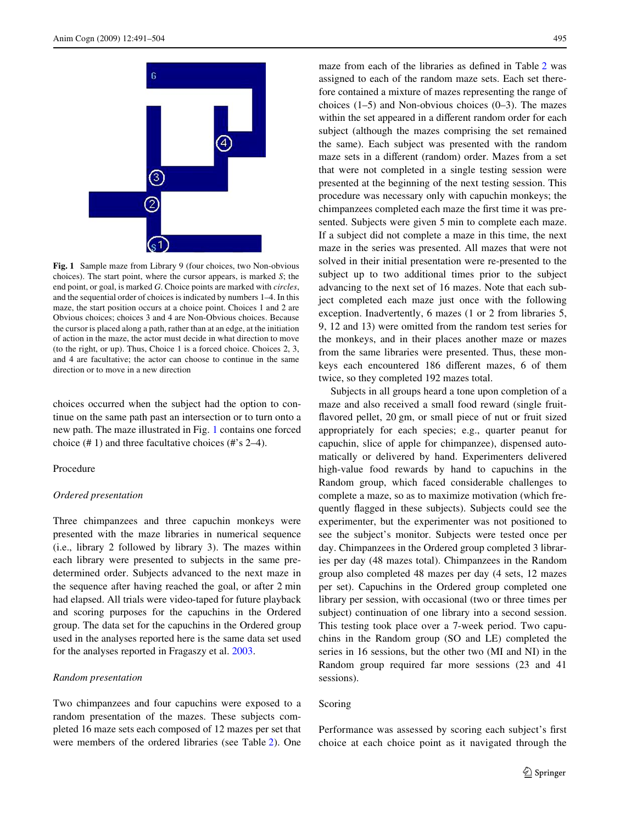

<span id="page-4-0"></span>**Fig. 1** Sample maze from Library 9 (four choices, two Non-obvious choices). The start point, where the cursor appears, is marked *S*; the end point, or goal, is marked *G*. Choice points are marked with *circles*, and the sequential order of choices is indicated by numbers 1–4. In this maze, the start position occurs at a choice point. Choices 1 and 2 are Obvious choices; choices 3 and 4 are Non-Obvious choices. Because the cursor is placed along a path, rather than at an edge, at the initiation of action in the maze, the actor must decide in what direction to move (to the right, or up). Thus, Choice 1 is a forced choice. Choices 2, 3, and 4 are facultative; the actor can choose to continue in the same direction or to move in a new direction

choices occurred when the subject had the option to continue on the same path past an intersection or to turn onto a new path. The maze illustrated in Fig. [1](#page-4-0) contains one forced choice (# 1) and three facultative choices (#'s 2–4).

#### Procedure

## *Ordered presentation*

Three chimpanzees and three capuchin monkeys were presented with the maze libraries in numerical sequence (i.e., library 2 followed by library 3). The mazes within each library were presented to subjects in the same predetermined order. Subjects advanced to the next maze in the sequence after having reached the goal, or after 2 min had elapsed. All trials were video-taped for future playback and scoring purposes for the capuchins in the Ordered group. The data set for the capuchins in the Ordered group used in the analyses reported here is the same data set used for the analyses reported in Fragaszy et al. [2003.](#page-12-0)

#### *Random presentation*

Two chimpanzees and four capuchins were exposed to a random presentation of the mazes. These subjects completed 16 maze sets each composed of 12 mazes per set that were members of the ordered libraries (see Table [2](#page-3-0)). One maze from each of the libraries as defined in Table [2](#page-3-0) was assigned to each of the random maze sets. Each set therefore contained a mixture of mazes representing the range of choices  $(1-5)$  and Non-obvious choices  $(0-3)$ . The mazes within the set appeared in a different random order for each subject (although the mazes comprising the set remained the same). Each subject was presented with the random maze sets in a different (random) order. Mazes from a set that were not completed in a single testing session were presented at the beginning of the next testing session. This procedure was necessary only with capuchin monkeys; the chimpanzees completed each maze the first time it was presented. Subjects were given 5 min to complete each maze. If a subject did not complete a maze in this time, the next maze in the series was presented. All mazes that were not solved in their initial presentation were re-presented to the subject up to two additional times prior to the subject advancing to the next set of 16 mazes. Note that each subject completed each maze just once with the following exception. Inadvertently, 6 mazes (1 or 2 from libraries 5, 9, 12 and 13) were omitted from the random test series for the monkeys, and in their places another maze or mazes from the same libraries were presented. Thus, these monkeys each encountered 186 different mazes, 6 of them twice, so they completed 192 mazes total.

Subjects in all groups heard a tone upon completion of a maze and also received a small food reward (single fruitflavored pellet, 20 gm, or small piece of nut or fruit sized appropriately for each species; e.g., quarter peanut for capuchin, slice of apple for chimpanzee), dispensed automatically or delivered by hand. Experimenters delivered high-value food rewards by hand to capuchins in the Random group, which faced considerable challenges to complete a maze, so as to maximize motivation (which frequently flagged in these subjects). Subjects could see the experimenter, but the experimenter was not positioned to see the subject's monitor. Subjects were tested once per day. Chimpanzees in the Ordered group completed 3 libraries per day (48 mazes total). Chimpanzees in the Random group also completed 48 mazes per day (4 sets, 12 mazes per set). Capuchins in the Ordered group completed one library per session, with occasional (two or three times per subject) continuation of one library into a second session. This testing took place over a 7-week period. Two capuchins in the Random group (SO and LE) completed the series in 16 sessions, but the other two (MI and NI) in the Random group required far more sessions (23 and 41 sessions).

#### Scoring

Performance was assessed by scoring each subject's first choice at each choice point as it navigated through the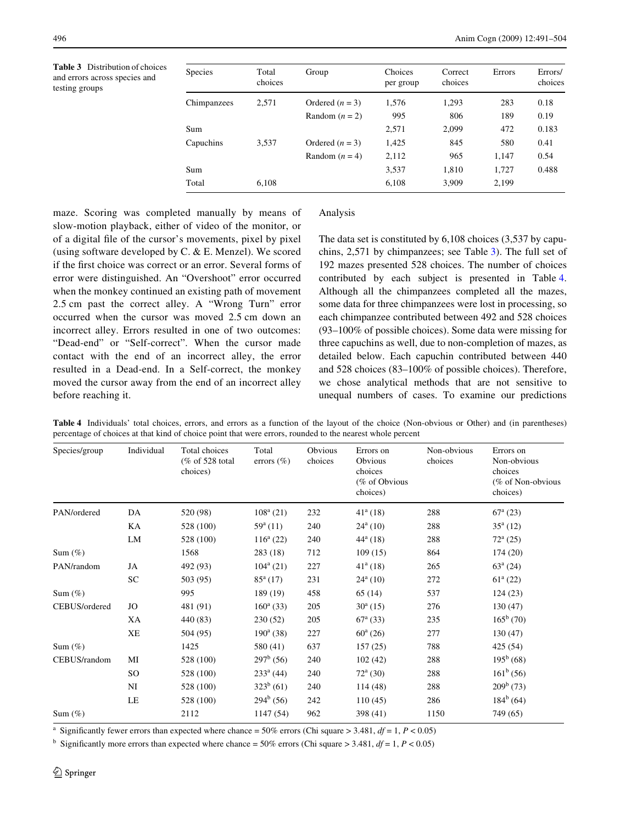<span id="page-5-0"></span>**Table 3** Distribution of choices and errors across species and testing groups

|       | Group   | Choices<br>per group                                                           | Correct<br>choices | <b>Errors</b> | Errors/<br>choices |
|-------|---------|--------------------------------------------------------------------------------|--------------------|---------------|--------------------|
| 2,571 |         | 1,576                                                                          | 1,293              | 283           | 0.18               |
|       |         | 995                                                                            | 806                | 189           | 0.19               |
|       |         | 2,571                                                                          | 2,099              | 472           | 0.183              |
| 3,537 |         | 1,425                                                                          | 845                | 580           | 0.41               |
|       |         | 2,112                                                                          | 965                | 1.147         | 0.54               |
|       |         | 3,537                                                                          | 1,810              | 1,727         | 0.488              |
| 6,108 |         | 6,108                                                                          | 3,909              | 2,199         |                    |
|       | choices | Ordered $(n = 3)$<br>Random $(n = 2)$<br>Ordered $(n = 3)$<br>Random $(n = 4)$ |                    |               |                    |

maze. Scoring was completed manually by means of slow-motion playback, either of video of the monitor, or of a digital file of the cursor's movements, pixel by pixel (using software developed by C. & E. Menzel). We scored if the first choice was correct or an error. Several forms of error were distinguished. An "Overshoot" error occurred when the monkey continued an existing path of movement 2.5 cm past the correct alley. A "Wrong Turn" error occurred when the cursor was moved 2.5 cm down an incorrect alley. Errors resulted in one of two outcomes: "Dead-end" or "Self-correct". When the cursor made contact with the end of an incorrect alley, the error resulted in a Dead-end. In a Self-correct, the monkey moved the cursor away from the end of an incorrect alley before reaching it.

#### Analysis

The data set is constituted by 6,108 choices (3,537 by capuchins, 2,571 by chimpanzees; see Table [3](#page-5-0)). The full set of 192 mazes presented 528 choices. The number of choices contributed by each subject is presented in Table [4.](#page-5-1) Although all the chimpanzees completed all the mazes, some data for three chimpanzees were lost in processing, so each chimpanzee contributed between 492 and 528 choices (93–100% of possible choices). Some data were missing for three capuchins as well, due to non-completion of mazes, as detailed below. Each capuchin contributed between 440 and 528 choices (83–100% of possible choices). Therefore, we chose analytical methods that are not sensitive to unequal numbers of cases. To examine our predictions

<span id="page-5-1"></span>**Table 4** Individuals' total choices, errors, and errors as a function of the layout of the choice (Non-obvious or Other) and (in parentheses) percentage of choices at that kind of choice point that were errors, rounded to the nearest whole percent

| PAN/ordered<br>$108^a$ (21)<br>232<br>$41^a(18)$<br>288<br>$67^{\rm a}$ (23)<br>DA<br>520 (98)<br>KA<br>$24^{\rm a}$ (10)<br>288<br>$35^a(12)$<br>528 (100)<br>$59^{\rm a}$ (11)<br>240<br>LM<br>$116^a$ (22)<br>240<br>$44^{\rm a}$ (18)<br>288<br>$72^{\rm a}$ (25)<br>528 (100) | Non-obvious<br>(% of Non-obvious |
|------------------------------------------------------------------------------------------------------------------------------------------------------------------------------------------------------------------------------------------------------------------------------------|----------------------------------|
|                                                                                                                                                                                                                                                                                    |                                  |
|                                                                                                                                                                                                                                                                                    |                                  |
|                                                                                                                                                                                                                                                                                    |                                  |
| 712<br>1568<br>283(18)<br>109(15)<br>864<br>174(20)<br>Sum $(\%)$                                                                                                                                                                                                                  |                                  |
| $63^a(24)$<br>$104^{\rm a}$ (21)<br>227<br>$41^{\circ}$ (18)<br>265<br>PAN/random<br>JA<br>492 (93)                                                                                                                                                                                |                                  |
| ${\rm SC}$<br>$61^a(22)$<br>503 (95)<br>$24^{\rm a}$ (10)<br>$85^{\rm a}$ (17)<br>231<br>272                                                                                                                                                                                       |                                  |
| 995<br>458<br>537<br>189 (19)<br>65(14)<br>124(23)<br>Sum $(\%)$                                                                                                                                                                                                                   |                                  |
| CEBUS/ordered<br>JO<br>481 (91)<br>$160^a$ (33)<br>205<br>$30^{\rm a}$ (15)<br>276<br>130 (47)                                                                                                                                                                                     |                                  |
| $165^b(70)$<br>XA<br>205<br>$67^{\rm a}$ (33)<br>235<br>440 (83)<br>230(52)                                                                                                                                                                                                        |                                  |
| <b>XE</b><br>$60^{\rm a}$ (26)<br>277<br>130(47)<br>504 (95)<br>$190^{\rm a}$ (38)<br>227                                                                                                                                                                                          |                                  |
| 788<br>1425<br>637<br>157(25)<br>425 (54)<br>580 (41)<br>Sum $(\%)$                                                                                                                                                                                                                |                                  |
| $297^b(56)$<br>$195^b(68)$<br>CEBUS/random<br>MI<br>240<br>102(42)<br>288<br>528 (100)                                                                                                                                                                                             |                                  |
| $161^b(56)$<br><b>SO</b><br>$233^a$ (44)<br>$72^{\rm a}$ (30)<br>288<br>240<br>528 (100)                                                                                                                                                                                           |                                  |
| $209^b(73)$<br>$323^b(61)$<br>NI<br>240<br>288<br>528 (100)<br>114(48)                                                                                                                                                                                                             |                                  |
| $184^b$ (64)<br>$294^b(56)$<br>LE<br>242<br>286<br>528 (100)<br>110(45)                                                                                                                                                                                                            |                                  |
| 2112<br>1147(54)<br>962<br>398 (41)<br>749 (65)<br>1150<br>Sum $(\%)$                                                                                                                                                                                                              |                                  |

Significantly fewer errors than expected where chance =  $50\%$  errors (Chi square >  $3.481$ ,  $df = 1$ ,  $P < 0.05$ )

<sup>b</sup> Significantly more errors than expected where chance = 50% errors (Chi square > 3.481,  $df = 1$ ,  $P < 0.05$ )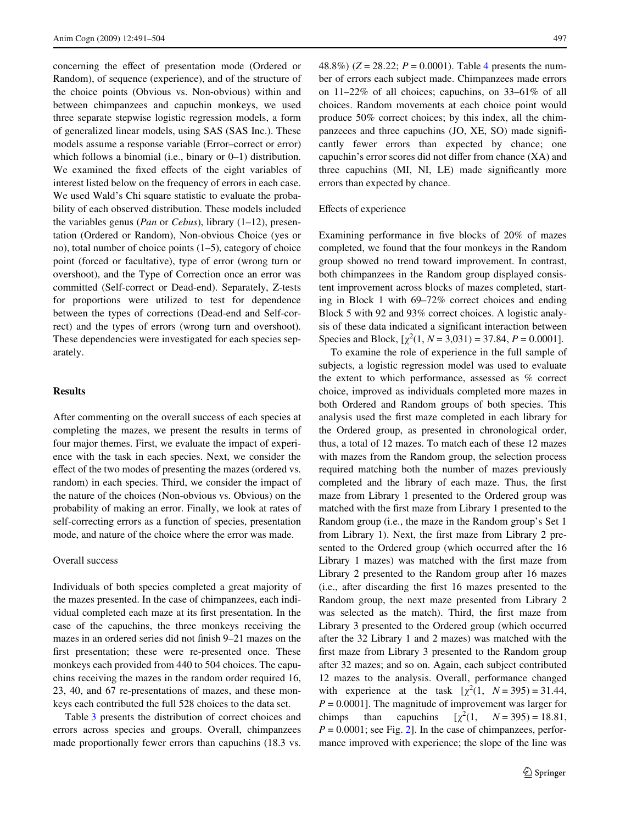concerning the effect of presentation mode (Ordered or Random), of sequence (experience), and of the structure of the choice points (Obvious vs. Non-obvious) within and between chimpanzees and capuchin monkeys, we used three separate stepwise logistic regression models, a form of generalized linear models, using SAS (SAS Inc.). These models assume a response variable (Error–correct or error) which follows a binomial (i.e., binary or 0–1) distribution. We examined the fixed effects of the eight variables of interest listed below on the frequency of errors in each case. We used Wald's Chi square statistic to evaluate the probability of each observed distribution. These models included the variables genus (*Pan* or *Cebus*), library (1–12), presentation (Ordered or Random), Non-obvious Choice (yes or no), total number of choice points (1–5), category of choice point (forced or facultative), type of error (wrong turn or overshoot), and the Type of Correction once an error was committed (Self-correct or Dead-end). Separately, Z-tests for proportions were utilized to test for dependence between the types of corrections (Dead-end and Self-correct) and the types of errors (wrong turn and overshoot). These dependencies were investigated for each species separately.

## **Results**

After commenting on the overall success of each species at completing the mazes, we present the results in terms of four major themes. First, we evaluate the impact of experience with the task in each species. Next, we consider the effect of the two modes of presenting the mazes (ordered vs. random) in each species. Third, we consider the impact of the nature of the choices (Non-obvious vs. Obvious) on the probability of making an error. Finally, we look at rates of self-correcting errors as a function of species, presentation mode, and nature of the choice where the error was made.

## Overall success

Individuals of both species completed a great majority of the mazes presented. In the case of chimpanzees, each individual completed each maze at its first presentation. In the case of the capuchins, the three monkeys receiving the mazes in an ordered series did not finish 9–21 mazes on the first presentation; these were re-presented once. These monkeys each provided from 440 to 504 choices. The capuchins receiving the mazes in the random order required 16, 23, 40, and 67 re-presentations of mazes, and these monkeys each contributed the full 528 choices to the data set.

Table [3](#page-5-0) presents the distribution of correct choices and errors across species and groups. Overall, chimpanzees made proportionally fewer errors than capuchins (18.3 vs.

[4](#page-5-1)8.8%) ( $Z = 28.22$ ;  $P = 0.0001$ ). Table 4 presents the number of errors each subject made. Chimpanzees made errors on 11–22% of all choices; capuchins, on 33–61% of all choices. Random movements at each choice point would produce 50% correct choices; by this index, all the chimpanzeees and three capuchins  $(JO, XE, SO)$  made significantly fewer errors than expected by chance; one capuchin's error scores did not differ from chance  $(XA)$  and three capuchins (MI, NI, LE) made significantly more errors than expected by chance.

## Effects of experience

Examining performance in five blocks of  $20\%$  of mazes completed, we found that the four monkeys in the Random group showed no trend toward improvement. In contrast, both chimpanzees in the Random group displayed consistent improvement across blocks of mazes completed, starting in Block 1 with 69–72% correct choices and ending Block 5 with 92 and 93% correct choices. A logistic analysis of these data indicated a significant interaction between Species and Block,  $[\chi^2(1, N = 3, 031) = 37.84, P = 0.0001]$ .

To examine the role of experience in the full sample of subjects, a logistic regression model was used to evaluate the extent to which performance, assessed as % correct choice, improved as individuals completed more mazes in both Ordered and Random groups of both species. This analysis used the first maze completed in each library for the Ordered group, as presented in chronological order, thus, a total of 12 mazes. To match each of these 12 mazes with mazes from the Random group, the selection process required matching both the number of mazes previously completed and the library of each maze. Thus, the first maze from Library 1 presented to the Ordered group was matched with the first maze from Library 1 presented to the Random group (i.e., the maze in the Random group's Set 1 from Library 1). Next, the first maze from Library 2 presented to the Ordered group (which occurred after the 16 Library 1 mazes) was matched with the first maze from Library 2 presented to the Random group after 16 mazes (i.e., after discarding the first 16 mazes presented to the Random group, the next maze presented from Library 2 was selected as the match). Third, the first maze from Library 3 presented to the Ordered group (which occurred after the 32 Library 1 and 2 mazes) was matched with the first maze from Library 3 presented to the Random group after 32 mazes; and so on. Again, each subject contributed 12 mazes to the analysis. Overall, performance changed with experience at the task  $[\chi^2(1, N=395) = 31.44,$  $P = 0.0001$ . The magnitude of improvement was larger for chimps than capuchins  $[\chi^2(1, \quad N = 395) = 18.81,$  $P = 0.0001$ ; see Fig. [2\]](#page-7-0). In the case of chimpanzees, performance improved with experience; the slope of the line was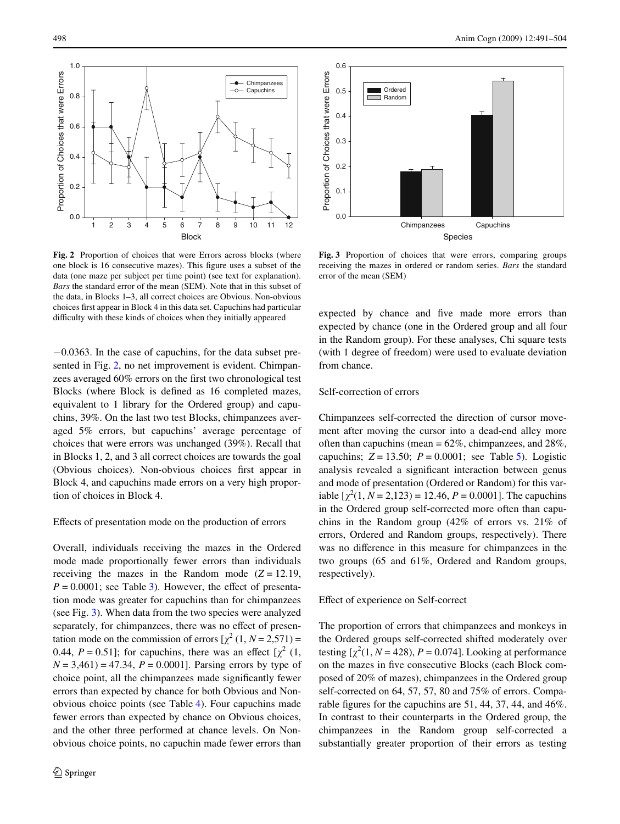Proportion of Choices that were Errors

Proportion of Choices that were Errors

0.0

0.2

0.4

0.6

0.8

1.0

<span id="page-7-0"></span>**Fig. 2** Proportion of choices that were Errors across blocks (where one block is 16 consecutive mazes). This figure uses a subset of the data (one maze per subject per time point) (see text for explanation). *Bars* the standard error of the mean (SEM). Note that in this subset of the data, in Blocks 1–3, all correct choices are Obvious. Non-obvious choices first appear in Block 4 in this data set. Capuchins had particular difficulty with these kinds of choices when they initially appeared

Block 1 2 3 4 5 6 7 8 9 10 11 12

Chimpanzees Capuchins

 $-0.0363$ . In the case of capuchins, for the data subset presented in Fig. [2,](#page-7-0) no net improvement is evident. Chimpanzees averaged 60% errors on the first two chronological test Blocks (where Block is defined as 16 completed mazes, equivalent to 1 library for the Ordered group) and capuchins, 39%. On the last two test Blocks, chimpanzees averaged 5% errors, but capuchins' average percentage of choices that were errors was unchanged (39%). Recall that in Blocks 1, 2, and 3 all correct choices are towards the goal (Obvious choices). Non-obvious choices first appear in Block 4, and capuchins made errors on a very high proportion of choices in Block 4.

## Effects of presentation mode on the production of errors

Overall, individuals receiving the mazes in the Ordered mode made proportionally fewer errors than individuals receiving the mazes in the Random mode  $(Z = 12.19)$ ,  $P = 0.0001$ ; see Table [3\)](#page-5-0). However, the effect of presentation mode was greater for capuchins than for chimpanzees (see Fig. [3\)](#page-7-1). When data from the two species were analyzed separately, for chimpanzees, there was no effect of presentation mode on the commission of errors  $[\chi^2(1, N=2.571)$  = 0.44,  $P = 0.51$ ; for capuchins, there was an effect  $\left[\chi^2(1)\right]$  $N = 3,461$  = 47.34,  $P = 0.0001$ ]. Parsing errors by type of choice point, all the chimpanzees made significantly fewer errors than expected by chance for both Obvious and Nonobvious choice points (see Table [4\)](#page-5-1). Four capuchins made fewer errors than expected by chance on Obvious choices, and the other three performed at chance levels. On Nonobvious choice points, no capuchin made fewer errors than



<span id="page-7-1"></span>**Fig. 3** Proportion of choices that were errors, comparing groups receiving the mazes in ordered or random series. *Bars* the standard error of the mean (SEM)

expected by chance and five made more errors than expected by chance (one in the Ordered group and all four in the Random group). For these analyses, Chi square tests (with 1 degree of freedom) were used to evaluate deviation from chance.

# Self-correction of errors

Chimpanzees self-corrected the direction of cursor movement after moving the cursor into a dead-end alley more often than capuchins (mean  $= 62\%$ , chimpanzees, and  $28\%$ , capuchins;  $Z = 13.50$ ;  $P = 0.0001$ ; see Table [5\)](#page-8-0). Logistic analysis revealed a significant interaction between genus and mode of presentation (Ordered or Random) for this variable  $[\chi^2(1, N = 2, 123) = 12.46, P = 0.0001]$ . The capuchins in the Ordered group self-corrected more often than capuchins in the Random group (42% of errors vs. 21% of errors, Ordered and Random groups, respectively). There was no difference in this measure for chimpanzees in the two groups (65 and 61%, Ordered and Random groups, respectively).

# Effect of experience on Self-correct

The proportion of errors that chimpanzees and monkeys in the Ordered groups self-corrected shifted moderately over testing  $[\chi^2(1, N = 428), P = 0.074]$ . Looking at performance on the mazes in five consecutive Blocks (each Block composed of 20% of mazes), chimpanzees in the Ordered group self-corrected on 64, 57, 57, 80 and 75% of errors. Comparable figures for the capuchins are  $51, 44, 37, 44,$  and  $46\%$ . In contrast to their counterparts in the Ordered group, the chimpanzees in the Random group self-corrected a substantially greater proportion of their errors as testing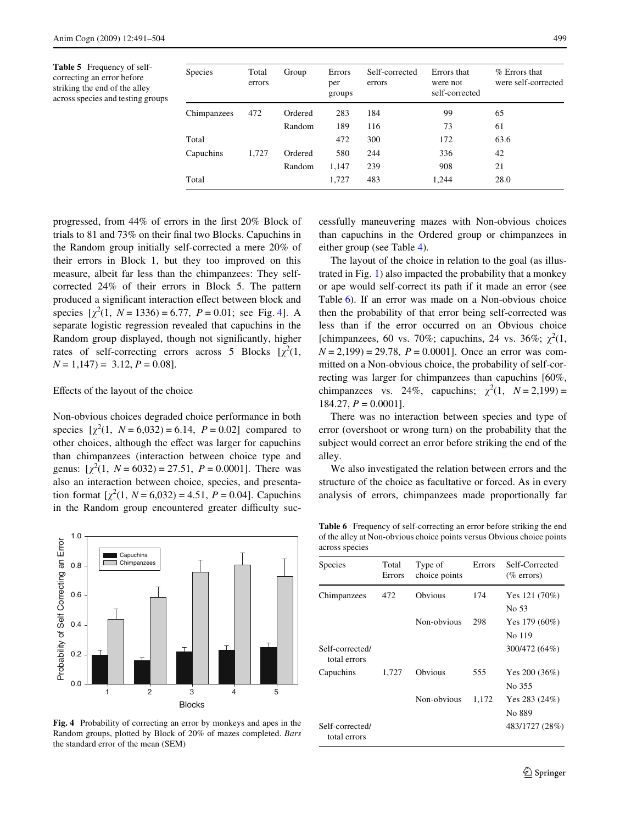<span id="page-8-0"></span>**Table 5** Frequency of selfcorrecting an error before striking the end of the alley across species and testing groups

| <b>Species</b> | Total<br>errors | Group   | Errors<br>per<br>groups | Self-corrected<br>errors | Errors that<br>were not<br>self-corrected | $%$ Errors that<br>were self-corrected |
|----------------|-----------------|---------|-------------------------|--------------------------|-------------------------------------------|----------------------------------------|
|                |                 |         |                         |                          |                                           |                                        |
| Chimpanzees    | 472             | Ordered | 283                     | 184                      | 99                                        | 65                                     |
|                |                 | Random  | 189                     | 116                      | 73                                        | 61                                     |
| Total          |                 |         | 472                     | 300                      | 172                                       | 63.6                                   |
| Capuchins      | 1,727           | Ordered | 580                     | 244                      | 336                                       | 42                                     |
|                |                 | Random  | 1,147                   | 239                      | 908                                       | 21                                     |
| Total          |                 |         | 1,727                   | 483                      | 1.244                                     | 28.0                                   |

progressed, from  $44\%$  of errors in the first 20% Block of trials to  $81$  and  $73\%$  on their final two Blocks. Capuchins in the Random group initially self-corrected a mere 20% of their errors in Block 1, but they too improved on this measure, albeit far less than the chimpanzees: They selfcorrected 24% of their errors in Block 5. The pattern produced a significant interaction effect between block and species  $[\chi^2(1, N = 1336) = 6.77, P = 0.01$ ; see Fig. [4](#page-8-1)]. A separate logistic regression revealed that capuchins in the Random group displayed, though not significantly, higher rates of self-correcting errors across 5 Blocks  $[\chi^2(1,$  $N = 1,147 = 3.12, P = 0.08$ .

# Effects of the layout of the choice

Non-obvious choices degraded choice performance in both species  $[\chi^2(1, N = 6.032) = 6.14, P = 0.02]$  compared to other choices, although the effect was larger for capuchins than chimpanzees (interaction between choice type and genus:  $[\chi^2(1, N = 6032) = 27.51, P = 0.0001]$ . There was also an interaction between choice, species, and presentation format  $[\chi^2(1, N = 6, 032) = 4.51, P = 0.04]$ . Capuchins in the Random group encountered greater difficulty suc-



<span id="page-8-1"></span>**Fig. 4** Probability of correcting an error by monkeys and apes in the Random groups, plotted by Block of 20% of mazes completed. *Bars* the standard error of the mean (SEM)

cessfully maneuvering mazes with Non-obvious choices than capuchins in the Ordered group or chimpanzees in either group (see Table [4](#page-5-1)).

The layout of the choice in relation to the goal (as illustrated in Fig. [1\)](#page-4-0) also impacted the probability that a monkey or ape would self-correct its path if it made an error (see Table [6](#page-8-2)). If an error was made on a Non-obvious choice then the probability of that error being self-corrected was less than if the error occurred on an Obvious choice [chimpanzees, 60 vs. 70%; capuchins, 24 vs. 36%;  $\chi^2(1,$ *N* = 2,199) = 29.78, *P* = 0.0001]. Once an error was committed on a Non-obvious choice, the probability of self-correcting was larger for chimpanzees than capuchins [60%, chimpanzees vs. 24%, capuchins;  $\chi^2(1, N=2,199)$  = 184.27, *P* = 0.0001].

There was no interaction between species and type of error (overshoot or wrong turn) on the probability that the subject would correct an error before striking the end of the alley.

We also investigated the relation between errors and the structure of the choice as facultative or forced. As in every analysis of errors, chimpanzees made proportionally far

<span id="page-8-2"></span>**Table 6** Frequency of self-correcting an error before striking the end of the alley at Non-obvious choice points versus Obvious choice points across species

| <b>Species</b>                  | Total<br>Errors | Type of<br>choice points | Errors | Self-Corrected<br>$(\%$ errors) |
|---------------------------------|-----------------|--------------------------|--------|---------------------------------|
| Chimpanzees                     | 472             | Obvious                  | 174    | Yes $121(70%)$<br>No 53         |
|                                 |                 | Non-obvious              | 298    | Yes $179(60\%)$<br>No 119       |
| Self-corrected/<br>total errors |                 |                          |        | 300/472 (64%)                   |
| Capuchins                       | 1,727           | Obvious                  | 555    | Yes $200(36%)$<br>No 355        |
|                                 |                 | Non-obvious              | 1,172  | Yes 283 $(24%)$<br>No 889       |
| Self-corrected/<br>total errors |                 |                          |        | 483/1727 (28%)                  |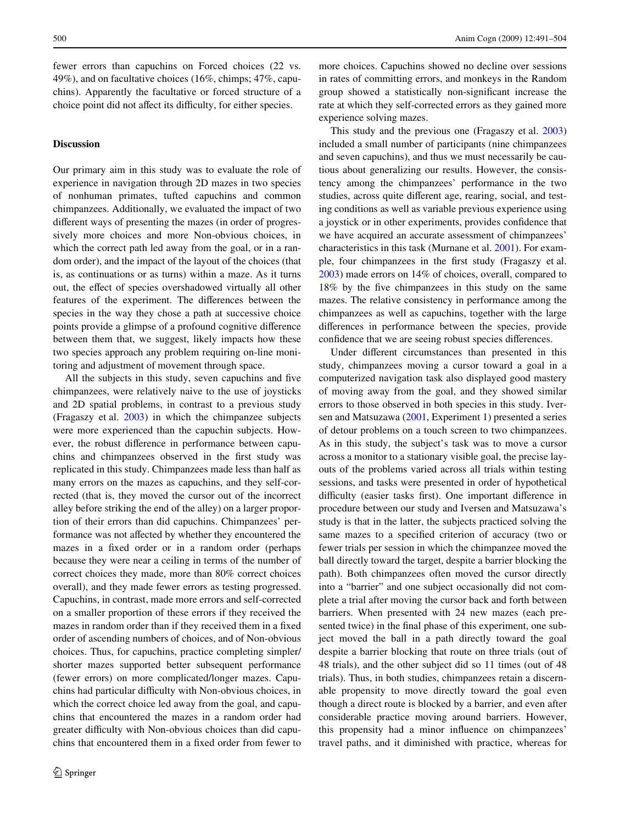fewer errors than capuchins on Forced choices (22 vs. 49%), and on facultative choices (16%, chimps; 47%, capuchins). Apparently the facultative or forced structure of a choice point did not affect its difficulty, for either species.

## **Discussion**

Our primary aim in this study was to evaluate the role of experience in navigation through 2D mazes in two species of nonhuman primates, tufted capuchins and common chimpanzees. Additionally, we evaluated the impact of two different ways of presenting the mazes (in order of progressively more choices and more Non-obvious choices, in which the correct path led away from the goal, or in a random order), and the impact of the layout of the choices (that is, as continuations or as turns) within a maze. As it turns out, the effect of species overshadowed virtually all other features of the experiment. The differences between the species in the way they chose a path at successive choice points provide a glimpse of a profound cognitive difference between them that, we suggest, likely impacts how these two species approach any problem requiring on-line monitoring and adjustment of movement through space.

All the subjects in this study, seven capuchins and five chimpanzees, were relatively naive to the use of joysticks and 2D spatial problems, in contrast to a previous study (Fragaszy et al. [2003\)](#page-12-0) in which the chimpanzee subjects were more experienced than the capuchin subjects. However, the robust difference in performance between capuchins and chimpanzees observed in the first study was replicated in this study. Chimpanzees made less than half as many errors on the mazes as capuchins, and they self-corrected (that is, they moved the cursor out of the incorrect alley before striking the end of the alley) on a larger proportion of their errors than did capuchins. Chimpanzees' performance was not affected by whether they encountered the mazes in a fixed order or in a random order (perhaps because they were near a ceiling in terms of the number of correct choices they made, more than 80% correct choices overall), and they made fewer errors as testing progressed. Capuchins, in contrast, made more errors and self-corrected on a smaller proportion of these errors if they received the mazes in random order than if they received them in a fixed order of ascending numbers of choices, and of Non-obvious choices. Thus, for capuchins, practice completing simpler/ shorter mazes supported better subsequent performance (fewer errors) on more complicated/longer mazes. Capuchins had particular difficulty with Non-obvious choices, in which the correct choice led away from the goal, and capuchins that encountered the mazes in a random order had greater difficulty with Non-obvious choices than did capuchins that encountered them in a fixed order from fewer to more choices. Capuchins showed no decline over sessions in rates of committing errors, and monkeys in the Random group showed a statistically non-significant increase the rate at which they self-corrected errors as they gained more experience solving mazes.

This study and the previous one (Fragaszy et al. [2003\)](#page-12-0) included a small number of participants (nine chimpanzees and seven capuchins), and thus we must necessarily be cautious about generalizing our results. However, the consistency among the chimpanzees' performance in the two studies, across quite different age, rearing, social, and testing conditions as well as variable previous experience using a joystick or in other experiments, provides confidence that we have acquired an accurate assessment of chimpanzees' characteristics in this task (Murnane et al. [2001\)](#page-13-22). For example, four chimpanzees in the first study (Fragaszy et al. [2003](#page-12-0)) made errors on 14% of choices, overall, compared to 18% by the five chimpanzees in this study on the same mazes. The relative consistency in performance among the chimpanzees as well as capuchins, together with the large differences in performance between the species, provide confidence that we are seeing robust species differences.

Under different circumstances than presented in this study, chimpanzees moving a cursor toward a goal in a computerized navigation task also displayed good mastery of moving away from the goal, and they showed similar errors to those observed in both species in this study. Iversen and Matsuzawa ([2001,](#page-13-23) Experiment 1) presented a series of detour problems on a touch screen to two chimpanzees. As in this study, the subject's task was to move a cursor across a monitor to a stationary visible goal, the precise layouts of the problems varied across all trials within testing sessions, and tasks were presented in order of hypothetical difficulty (easier tasks first). One important difference in procedure between our study and Iversen and Matsuzawa's study is that in the latter, the subjects practiced solving the same mazes to a specified criterion of accuracy (two or fewer trials per session in which the chimpanzee moved the ball directly toward the target, despite a barrier blocking the path). Both chimpanzees often moved the cursor directly into a "barrier" and one subject occasionally did not complete a trial after moving the cursor back and forth between barriers. When presented with 24 new mazes (each presented twice) in the final phase of this experiment, one subject moved the ball in a path directly toward the goal despite a barrier blocking that route on three trials (out of 48 trials), and the other subject did so 11 times (out of 48 trials). Thus, in both studies, chimpanzees retain a discernable propensity to move directly toward the goal even though a direct route is blocked by a barrier, and even after considerable practice moving around barriers. However, this propensity had a minor influence on chimpanzees' travel paths, and it diminished with practice, whereas for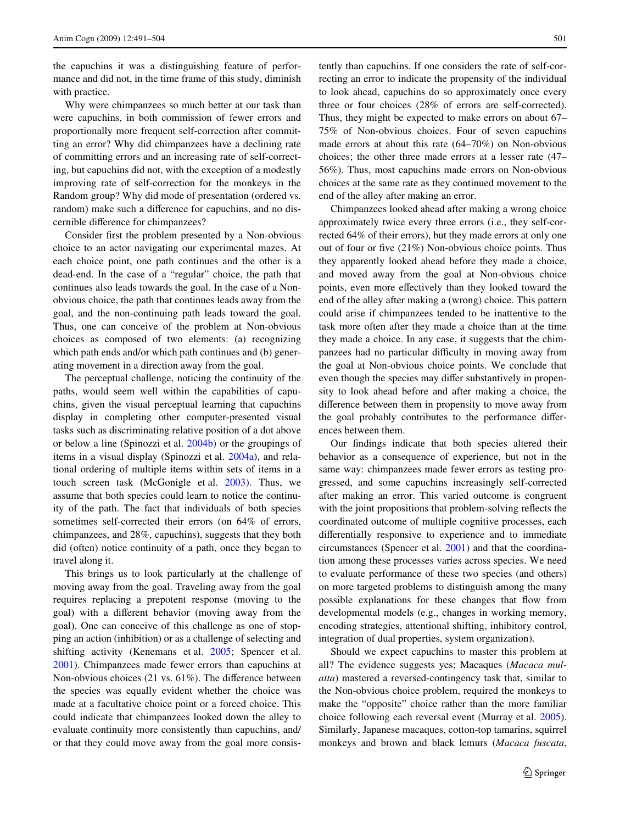the capuchins it was a distinguishing feature of performance and did not, in the time frame of this study, diminish with practice.

Why were chimpanzees so much better at our task than were capuchins, in both commission of fewer errors and proportionally more frequent self-correction after committing an error? Why did chimpanzees have a declining rate of committing errors and an increasing rate of self-correcting, but capuchins did not, with the exception of a modestly improving rate of self-correction for the monkeys in the Random group? Why did mode of presentation (ordered vs. random) make such a difference for capuchins, and no discernible difference for chimpanzees?

Consider first the problem presented by a Non-obvious choice to an actor navigating our experimental mazes. At each choice point, one path continues and the other is a dead-end. In the case of a "regular" choice, the path that continues also leads towards the goal. In the case of a Nonobvious choice, the path that continues leads away from the goal, and the non-continuing path leads toward the goal. Thus, one can conceive of the problem at Non-obvious choices as composed of two elements: (a) recognizing which path ends and/or which path continues and (b) generating movement in a direction away from the goal.

The perceptual challenge, noticing the continuity of the paths, would seem well within the capabilities of capuchins, given the visual perceptual learning that capuchins display in completing other computer-presented visual tasks such as discriminating relative position of a dot above or below a line (Spinozzi et al. [2004b\)](#page-13-24) or the groupings of items in a visual display (Spinozzi et al. [2004a\)](#page-13-25), and relational ordering of multiple items within sets of items in a touch screen task (McGonigle et al. [2003](#page-13-26)). Thus, we assume that both species could learn to notice the continuity of the path. The fact that individuals of both species sometimes self-corrected their errors (on 64% of errors, chimpanzees, and 28%, capuchins), suggests that they both did (often) notice continuity of a path, once they began to travel along it.

This brings us to look particularly at the challenge of moving away from the goal. Traveling away from the goal requires replacing a prepotent response (moving to the goal) with a different behavior (moving away from the goal). One can conceive of this challenge as one of stopping an action (inhibition) or as a challenge of selecting and shifting activity (Kenemans et al. [2005;](#page-13-27) Spencer et al. [2001](#page-13-15)). Chimpanzees made fewer errors than capuchins at Non-obvious choices  $(21 \text{ vs. } 61\%)$ . The difference between the species was equally evident whether the choice was made at a facultative choice point or a forced choice. This could indicate that chimpanzees looked down the alley to evaluate continuity more consistently than capuchins, and/ or that they could move away from the goal more consistently than capuchins. If one considers the rate of self-correcting an error to indicate the propensity of the individual to look ahead, capuchins do so approximately once every three or four choices (28% of errors are self-corrected). Thus, they might be expected to make errors on about 67– 75% of Non-obvious choices. Four of seven capuchins made errors at about this rate (64–70%) on Non-obvious choices; the other three made errors at a lesser rate (47– 56%). Thus, most capuchins made errors on Non-obvious choices at the same rate as they continued movement to the end of the alley after making an error.

Chimpanzees looked ahead after making a wrong choice approximately twice every three errors (i.e., they self-corrected 64% of their errors), but they made errors at only one out of four or five  $(21%)$  Non-obvious choice points. Thus they apparently looked ahead before they made a choice, and moved away from the goal at Non-obvious choice points, even more effectively than they looked toward the end of the alley after making a (wrong) choice. This pattern could arise if chimpanzees tended to be inattentive to the task more often after they made a choice than at the time they made a choice. In any case, it suggests that the chimpanzees had no particular difficulty in moving away from the goal at Non-obvious choice points. We conclude that even though the species may differ substantively in propensity to look ahead before and after making a choice, the difference between them in propensity to move away from the goal probably contributes to the performance differences between them.

Our findings indicate that both species altered their behavior as a consequence of experience, but not in the same way: chimpanzees made fewer errors as testing progressed, and some capuchins increasingly self-corrected after making an error. This varied outcome is congruent with the joint propositions that problem-solving reflects the coordinated outcome of multiple cognitive processes, each differentially responsive to experience and to immediate circumstances (Spencer et al. [2001\)](#page-13-15) and that the coordination among these processes varies across species. We need to evaluate performance of these two species (and others) on more targeted problems to distinguish among the many possible explanations for these changes that flow from developmental models (e.g., changes in working memory, encoding strategies, attentional shifting, inhibitory control, integration of dual properties, system organization).

Should we expect capuchins to master this problem at all? The evidence suggests yes; Macaques (*Macaca mulatta*) mastered a reversed-contingency task that, similar to the Non-obvious choice problem, required the monkeys to make the "opposite" choice rather than the more familiar choice following each reversal event (Murray et al. [2005](#page-13-28)). Similarly, Japanese macaques, cotton-top tamarins, squirrel monkeys and brown and black lemurs (*Macaca fuscata*,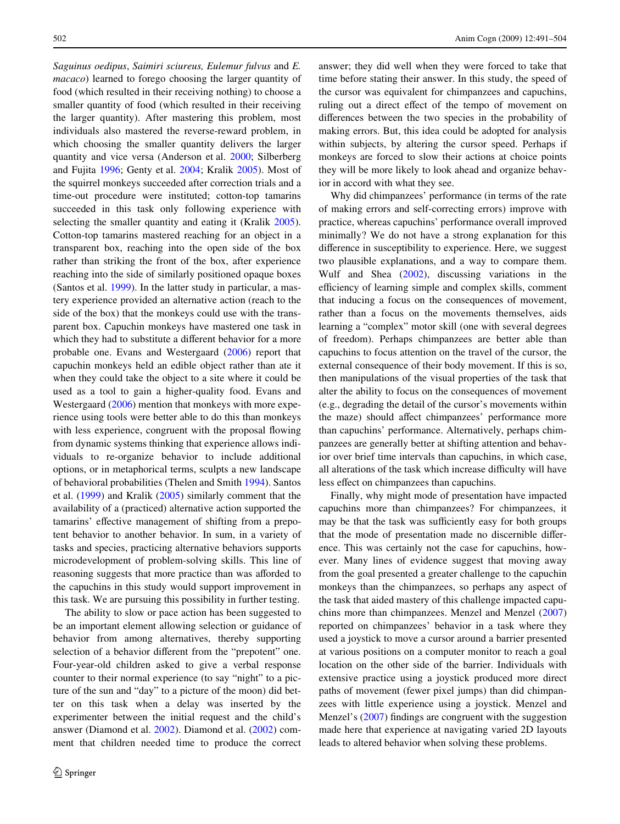*Saguinus oedipus*, *Saimiri sciureus, Eulemur fulvus* and *E. macaco*) learned to forego choosing the larger quantity of food (which resulted in their receiving nothing) to choose a smaller quantity of food (which resulted in their receiving the larger quantity). After mastering this problem, most individuals also mastered the reverse-reward problem, in which choosing the smaller quantity delivers the larger quantity and vice versa (Anderson et al. [2000;](#page-12-13) Silberberg and Fujita [1996;](#page-13-29) Genty et al. [2004](#page-13-30); Kralik [2005\)](#page-13-31). Most of the squirrel monkeys succeeded after correction trials and a time-out procedure were instituted; cotton-top tamarins succeeded in this task only following experience with selecting the smaller quantity and eating it (Kralik [2005](#page-13-31)). Cotton-top tamarins mastered reaching for an object in a transparent box, reaching into the open side of the box rather than striking the front of the box, after experience reaching into the side of similarly positioned opaque boxes (Santos et al. [1999\)](#page-13-32). In the latter study in particular, a mastery experience provided an alternative action (reach to the side of the box) that the monkeys could use with the transparent box. Capuchin monkeys have mastered one task in which they had to substitute a different behavior for a more probable one. Evans and Westergaard ([2006\)](#page-12-14) report that capuchin monkeys held an edible object rather than ate it when they could take the object to a site where it could be used as a tool to gain a higher-quality food. Evans and Westergaard [\(2006](#page-12-14)) mention that monkeys with more experience using tools were better able to do this than monkeys with less experience, congruent with the proposal flowing from dynamic systems thinking that experience allows individuals to re-organize behavior to include additional options, or in metaphorical terms, sculpts a new landscape of behavioral probabilities (Thelen and Smith [1994](#page-13-16)). Santos et al. ([1999\)](#page-13-32) and Kralik [\(2005](#page-13-31)) similarly comment that the availability of a (practiced) alternative action supported the tamarins' effective management of shifting from a prepotent behavior to another behavior. In sum, in a variety of tasks and species, practicing alternative behaviors supports microdevelopment of problem-solving skills. This line of reasoning suggests that more practice than was afforded to the capuchins in this study would support improvement in this task. We are pursuing this possibility in further testing.

The ability to slow or pace action has been suggested to be an important element allowing selection or guidance of behavior from among alternatives, thereby supporting selection of a behavior different from the "prepotent" one. Four-year-old children asked to give a verbal response counter to their normal experience (to say "night" to a picture of the sun and "day" to a picture of the moon) did better on this task when a delay was inserted by the experimenter between the initial request and the child's answer (Diamond et al. [2002\)](#page-12-10). Diamond et al. [\(2002](#page-12-10)) comment that children needed time to produce the correct answer; they did well when they were forced to take that time before stating their answer. In this study, the speed of the cursor was equivalent for chimpanzees and capuchins, ruling out a direct effect of the tempo of movement on differences between the two species in the probability of making errors. But, this idea could be adopted for analysis within subjects, by altering the cursor speed. Perhaps if monkeys are forced to slow their actions at choice points they will be more likely to look ahead and organize behavior in accord with what they see.

Why did chimpanzees' performance (in terms of the rate of making errors and self-correcting errors) improve with practice, whereas capuchins' performance overall improved minimally? We do not have a strong explanation for this difference in susceptibility to experience. Here, we suggest two plausible explanations, and a way to compare them. Wulf and Shea ([2002\)](#page-13-33), discussing variations in the efficiency of learning simple and complex skills, comment that inducing a focus on the consequences of movement, rather than a focus on the movements themselves, aids learning a "complex" motor skill (one with several degrees of freedom). Perhaps chimpanzees are better able than capuchins to focus attention on the travel of the cursor, the external consequence of their body movement. If this is so, then manipulations of the visual properties of the task that alter the ability to focus on the consequences of movement (e.g., degrading the detail of the cursor's movements within the maze) should affect chimpanzees' performance more than capuchins' performance. Alternatively, perhaps chimpanzees are generally better at shifting attention and behavior over brief time intervals than capuchins, in which case, all alterations of the task which increase difficulty will have less effect on chimpanzees than capuchins.

Finally, why might mode of presentation have impacted capuchins more than chimpanzees? For chimpanzees, it may be that the task was sufficiently easy for both groups that the mode of presentation made no discernible difference. This was certainly not the case for capuchins, however. Many lines of evidence suggest that moving away from the goal presented a greater challenge to the capuchin monkeys than the chimpanzees, so perhaps any aspect of the task that aided mastery of this challenge impacted capu-chins more than chimpanzees. Menzel and Menzel ([2007\)](#page-13-34) reported on chimpanzees' behavior in a task where they used a joystick to move a cursor around a barrier presented at various positions on a computer monitor to reach a goal location on the other side of the barrier. Individuals with extensive practice using a joystick produced more direct paths of movement (fewer pixel jumps) than did chimpanzees with little experience using a joystick. Menzel and Menzel's  $(2007)$  $(2007)$  findings are congruent with the suggestion made here that experience at navigating varied 2D layouts leads to altered behavior when solving these problems.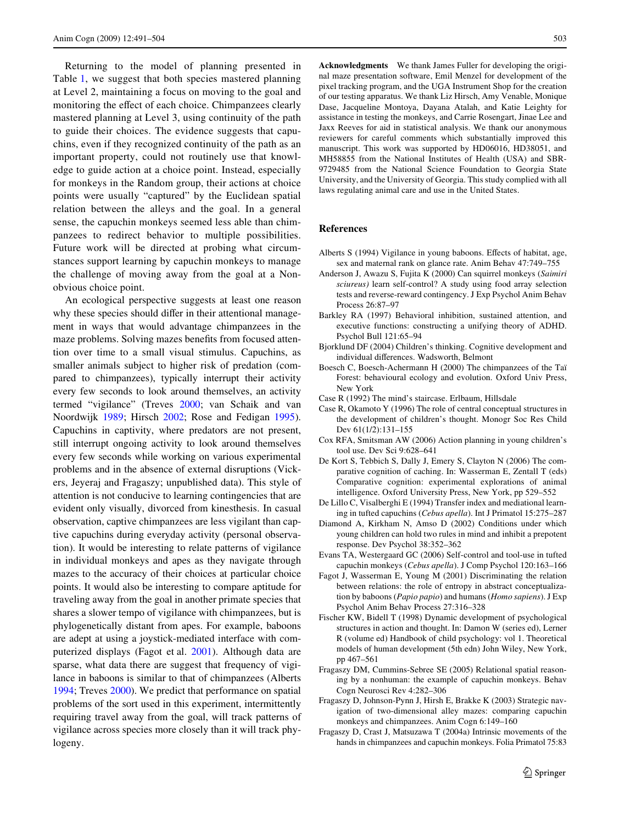Returning to the model of planning presented in Table [1,](#page-1-0) we suggest that both species mastered planning at Level 2, maintaining a focus on moving to the goal and monitoring the effect of each choice. Chimpanzees clearly mastered planning at Level 3, using continuity of the path to guide their choices. The evidence suggests that capuchins, even if they recognized continuity of the path as an important property, could not routinely use that knowledge to guide action at a choice point. Instead, especially for monkeys in the Random group, their actions at choice points were usually "captured" by the Euclidean spatial relation between the alleys and the goal. In a general sense, the capuchin monkeys seemed less able than chimpanzees to redirect behavior to multiple possibilities. Future work will be directed at probing what circumstances support learning by capuchin monkeys to manage the challenge of moving away from the goal at a Nonobvious choice point.

An ecological perspective suggests at least one reason why these species should differ in their attentional management in ways that would advantage chimpanzees in the maze problems. Solving mazes benefits from focused attention over time to a small visual stimulus. Capuchins, as smaller animals subject to higher risk of predation (compared to chimpanzees), typically interrupt their activity every few seconds to look around themselves, an activity termed "vigilance" (Treves [2000](#page-13-35); van Schaik and van Noordwijk [1989;](#page-13-36) Hirsch [2002;](#page-13-37) Rose and Fedigan [1995](#page-13-38)). Capuchins in captivity, where predators are not present, still interrupt ongoing activity to look around themselves every few seconds while working on various experimental problems and in the absence of external disruptions (Vickers, Jeyeraj and Fragaszy; unpublished data). This style of attention is not conducive to learning contingencies that are evident only visually, divorced from kinesthesis. In casual observation, captive chimpanzees are less vigilant than captive capuchins during everyday activity (personal observation). It would be interesting to relate patterns of vigilance in individual monkeys and apes as they navigate through mazes to the accuracy of their choices at particular choice points. It would also be interesting to compare aptitude for traveling away from the goal in another primate species that shares a slower tempo of vigilance with chimpanzees, but is phylogenetically distant from apes. For example, baboons are adept at using a joystick-mediated interface with computerized displays (Fagot et al. [2001\)](#page-12-15). Although data are sparse, what data there are suggest that frequency of vigilance in baboons is similar to that of chimpanzees (Alberts [1994](#page-12-16); Treves [2000\)](#page-13-35). We predict that performance on spatial problems of the sort used in this experiment, intermittently requiring travel away from the goal, will track patterns of vigilance across species more closely than it will track phylogeny.

**Acknowledgments** We thank James Fuller for developing the original maze presentation software, Emil Menzel for development of the pixel tracking program, and the UGA Instrument Shop for the creation of our testing apparatus. We thank Liz Hirsch, Amy Venable, Monique Dase, Jacqueline Montoya, Dayana Atalah, and Katie Leighty for assistance in testing the monkeys, and Carrie Rosengart, Jinae Lee and Jaxx Reeves for aid in statistical analysis. We thank our anonymous reviewers for careful comments which substantially improved this manuscript. This work was supported by HD06016, HD38051, and MH58855 from the National Institutes of Health (USA) and SBR-9729485 from the National Science Foundation to Georgia State University, and the University of Georgia. This study complied with all laws regulating animal care and use in the United States.

# **References**

- <span id="page-12-16"></span>Alberts S (1994) Vigilance in young baboons. Effects of habitat, age, sex and maternal rank on glance rate. Anim Behav 47:749–755
- <span id="page-12-13"></span>Anderson J, Awazu S, Fujita K (2000) Can squirrel monkeys (*Saimiri sciureus)* learn self-control? A study using food array selection tests and reverse-reward contingency. J Exp Psychol Anim Behav Process 26:87–97
- <span id="page-12-12"></span>Barkley RA (1997) Behavioral inhibition, sustained attention, and executive functions: constructing a unifying theory of ADHD. Psychol Bull 121:65–94
- <span id="page-12-11"></span>Bjorklund DF (2004) Children's thinking. Cognitive development and individual differences. Wadsworth, Belmont
- <span id="page-12-3"></span>Boesch C, Boesch-Achermann H (2000) The chimpanzees of the Taï Forest: behavioural ecology and evolution. Oxford Univ Press, New York
- <span id="page-12-1"></span>Case R (1992) The mind's staircase. Erlbaum, Hillsdale
- <span id="page-12-2"></span>Case R, Okamoto Y (1996) The role of central conceptual structures in the development of children's thought. Monogr Soc Res Child Dev 61(1/2):131–155
- <span id="page-12-9"></span>Cox RFA, Smitsman AW (2006) Action planning in young children's tool use. Dev Sci 9:628–641
- <span id="page-12-6"></span>De Kort S, Tebbich S, Dally J, Emery S, Clayton N (2006) The comparative cognition of caching. In: Wasserman E, Zentall T (eds) Comparative cognition: experimental explorations of animal intelligence. Oxford University Press, New York, pp 529–552
- <span id="page-12-7"></span>De Lillo C, Visalberghi E (1994) Transfer index and mediational learning in tufted capuchins (*Cebus apella*). Int J Primatol 15:275–287
- <span id="page-12-10"></span>Diamond A, Kirkham N, Amso D (2002) Conditions under which young children can hold two rules in mind and inhibit a prepotent response. Dev Psychol 38:352–362
- <span id="page-12-14"></span>Evans TA, Westergaard GC (2006) Self-control and tool-use in tufted capuchin monkeys (*Cebus apella*). J Comp Psychol 120:163–166
- <span id="page-12-15"></span>Fagot J, Wasserman E, Young M (2001) Discriminating the relation between relations: the role of entropy in abstract conceptualization by baboons (*Papio papio*) and humans (*Homo sapiens*). J Exp Psychol Anim Behav Process 27:316–328
- <span id="page-12-8"></span>Fischer KW, Bidell T (1998) Dynamic development of psychological structures in action and thought. In: Damon W (series ed), Lerner R (volume ed) Handbook of child psychology: vol 1. Theoretical models of human development (5th edn) John Wiley, New York, pp 467–561
- <span id="page-12-5"></span>Fragaszy DM, Cummins-Sebree SE (2005) Relational spatial reasoning by a nonhuman: the example of capuchin monkeys. Behav Cogn Neurosci Rev 4:282–306
- <span id="page-12-0"></span>Fragaszy D, Johnson-Pynn J, Hirsh E, Brakke K (2003) Strategic navigation of two-dimensional alley mazes: comparing capuchin monkeys and chimpanzees. Anim Cogn 6:149–160
- <span id="page-12-4"></span>Fragaszy D, Crast J, Matsuzawa T (2004a) Intrinsic movements of the hands in chimpanzees and capuchin monkeys. Folia Primatol 75:83